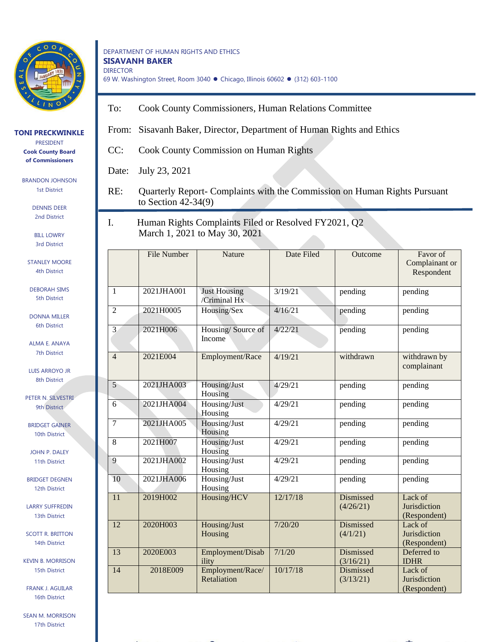

## DEPARTMENT OF HUMAN RIGHTS AND ETHICS **SISAVANH BAKER** DIRECTOR 69 W. Washington Street, Room 3040 ⚫ Chicago, Illinois 60602 ⚫ (312) 603-1100

- To: Cook County Commissioners, Human Relations Committee
- From: Sisavanh Baker, Director, Department of Human Rights and Ethics
- CC: Cook County Commission on Human Rights

Date: July 23, 2021

RE: Quarterly Report- Complaints with the Commission on Human Rights Pursuant to Section 42-34(9)

I. Human Rights Complaints Filed or Resolved FY2021, Q2 March 1, 2021 to May 30, 2021

|                 | <b>File Number</b> | Nature                              | Date Filed | Outcome                       | Favor of<br>Complainant or<br>Respondent |
|-----------------|--------------------|-------------------------------------|------------|-------------------------------|------------------------------------------|
| 1               | 2021JHA001         | <b>Just Housing</b><br>/Criminal Hx | 3/19/21    | pending                       | pending                                  |
| $\overline{2}$  | 2021H0005          | Housing/Sex                         | 4/16/21    | pending                       | pending                                  |
| $\overline{3}$  | 2021H006           | Housing/Source of<br>Income         | 4/22/21    | pending                       | pending                                  |
| $\overline{4}$  | 2021E004           | Employment/Race                     | 4/19/21    | withdrawn                     | withdrawn by<br>complainant              |
| 5               | 2021JHA003         | Housing/Just<br>Housing             | 4/29/21    | pending                       | pending                                  |
| 6               | 2021JHA004         | Housing/Just<br>Housing             | 4/29/21    | pending                       | pending                                  |
| $\overline{7}$  | 2021JHA005         | Housing/Just<br>Housing             | 4/29/21    | pending                       | pending                                  |
| 8               | 2021H007           | Housing/Just<br>Housing             | 4/29/21    | pending                       | pending                                  |
| 9               | 2021JHA002         | Housing/Just<br>Housing             | 4/29/21    | pending                       | pending                                  |
| 10              | 2021JHA006         | Housing/Just<br>Housing             | 4/29/21    | pending                       | pending                                  |
| $\overline{11}$ | 2019H002           | Housing/HCV                         | 12/17/18   | <b>Dismissed</b><br>(4/26/21) | Lack of<br>Jurisdiction<br>(Respondent)  |
| $\overline{12}$ | 2020H003           | Housing/Just<br>Housing             | 7/20/20    | Dismissed<br>(4/1/21)         | Lack of<br>Jurisdiction<br>(Respondent)  |
| 13              | 2020E003           | Employment/Disab<br>ility           | 7/1/20     | <b>Dismissed</b><br>(3/16/21) | Deferred to<br><b>IDHR</b>               |
| 14              | 2018E009           | Employment/Race/<br>Retaliation     | 10/17/18   | Dismissed<br>(3/13/21)        | Lack of<br>Jurisdiction<br>(Respondent)  |

## **TONI PRECKWINKLE**

PRESIDENT **Cook County Board of Commissioners**

BRANDON JOHNSON 1st District

> DENNIS DEER 2nd District

BILL LOWRY 3rd District

STANI FY MOORE 4th District

DEBORAH SIMS 5th District

DONNA MILLER 6th District

ALMA E. ANAYA 7th District

LUIS ARROYO JR 8th District

PETER N. SILVESTRI 9th District

BRIDGET GAINER 10th District

JOHN P. DALEY 11th District

BRIDGET DEGNEN 12th District

LARRY SUFFREDIN 13th District

SCOTT R. BRITTON 14th District

KEVIN B. MORRISON 15th District

FRANK J. AGUILAR 16th District

SEAN M. MORRISON 17th District